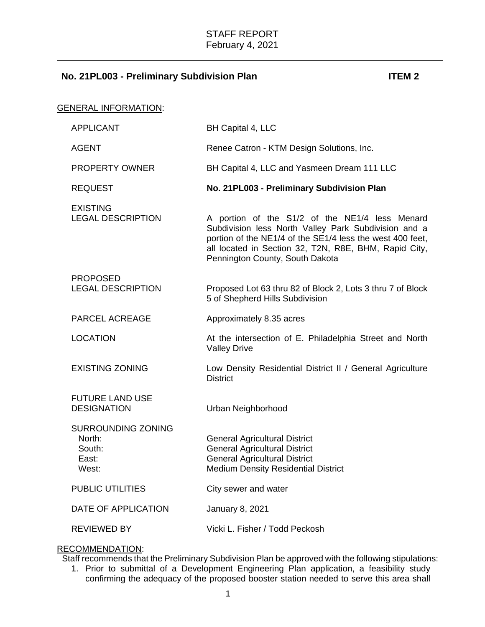| <u>GENERAL INFORMATION:</u> |                                                          |                                                                                                                                                                                                                                                                 |
|-----------------------------|----------------------------------------------------------|-----------------------------------------------------------------------------------------------------------------------------------------------------------------------------------------------------------------------------------------------------------------|
|                             | <b>APPLICANT</b>                                         | BH Capital 4, LLC                                                                                                                                                                                                                                               |
|                             | <b>AGENT</b>                                             | Renee Catron - KTM Design Solutions, Inc.                                                                                                                                                                                                                       |
|                             | <b>PROPERTY OWNER</b>                                    | BH Capital 4, LLC and Yasmeen Dream 111 LLC                                                                                                                                                                                                                     |
|                             | <b>REQUEST</b>                                           | No. 21PL003 - Preliminary Subdivision Plan                                                                                                                                                                                                                      |
|                             | <b>EXISTING</b><br><b>LEGAL DESCRIPTION</b>              | A portion of the S1/2 of the NE1/4 less Menard<br>Subdivision less North Valley Park Subdivision and a<br>portion of the NE1/4 of the SE1/4 less the west 400 feet,<br>all located in Section 32, T2N, R8E, BHM, Rapid City,<br>Pennington County, South Dakota |
|                             | <b>PROPOSED</b><br><b>LEGAL DESCRIPTION</b>              | Proposed Lot 63 thru 82 of Block 2, Lots 3 thru 7 of Block<br>5 of Shepherd Hills Subdivision                                                                                                                                                                   |
|                             | <b>PARCEL ACREAGE</b>                                    | Approximately 8.35 acres                                                                                                                                                                                                                                        |
|                             | <b>LOCATION</b>                                          | At the intersection of E. Philadelphia Street and North<br><b>Valley Drive</b>                                                                                                                                                                                  |
|                             | <b>EXISTING ZONING</b>                                   | Low Density Residential District II / General Agriculture<br><b>District</b>                                                                                                                                                                                    |
|                             | <b>FUTURE LAND USE</b><br><b>DESIGNATION</b>             | Urban Neighborhood                                                                                                                                                                                                                                              |
|                             | SURROUNDING ZONING<br>North:<br>South:<br>East:<br>West: | <b>General Agricultural District</b><br><b>General Agricultural District</b><br><b>General Agricultural District</b><br><b>Medium Density Residential District</b>                                                                                              |
|                             | <b>PUBLIC UTILITIES</b>                                  | City sewer and water                                                                                                                                                                                                                                            |
|                             | DATE OF APPLICATION                                      | <b>January 8, 2021</b>                                                                                                                                                                                                                                          |
|                             | <b>REVIEWED BY</b>                                       | Vicki L. Fisher / Todd Peckosh                                                                                                                                                                                                                                  |

## RECOMMENDATION:

Staff recommends that the Preliminary Subdivision Plan be approved with the following stipulations:

1. Prior to submittal of a Development Engineering Plan application, a feasibility study confirming the adequacy of the proposed booster station needed to serve this area shall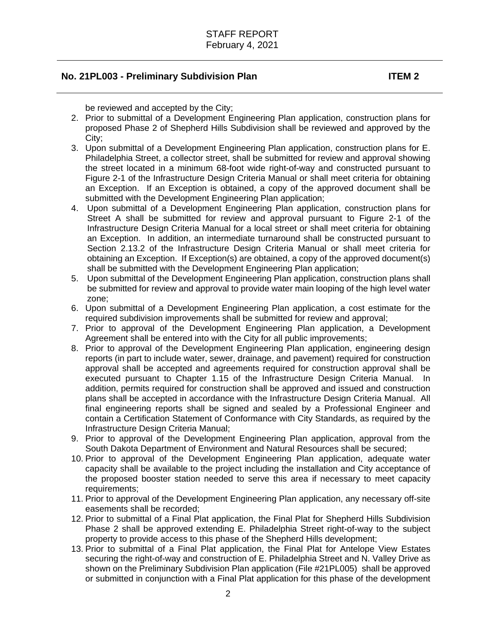be reviewed and accepted by the City;

- 2. Prior to submittal of a Development Engineering Plan application, construction plans for proposed Phase 2 of Shepherd Hills Subdivision shall be reviewed and approved by the City;
- 3. Upon submittal of a Development Engineering Plan application, construction plans for E. Philadelphia Street, a collector street, shall be submitted for review and approval showing the street located in a minimum 68-foot wide right-of-way and constructed pursuant to Figure 2-1 of the Infrastructure Design Criteria Manual or shall meet criteria for obtaining an Exception. If an Exception is obtained, a copy of the approved document shall be submitted with the Development Engineering Plan application;
- 4. Upon submittal of a Development Engineering Plan application, construction plans for Street A shall be submitted for review and approval pursuant to Figure 2-1 of the Infrastructure Design Criteria Manual for a local street or shall meet criteria for obtaining an Exception. In addition, an intermediate turnaround shall be constructed pursuant to Section 2.13.2 of the Infrastructure Design Criteria Manual or shall meet criteria for obtaining an Exception. If Exception(s) are obtained, a copy of the approved document(s) shall be submitted with the Development Engineering Plan application;
- 5. Upon submittal of the Development Engineering Plan application, construction plans shall be submitted for review and approval to provide water main looping of the high level water zone;
- 6. Upon submittal of a Development Engineering Plan application, a cost estimate for the required subdivision improvements shall be submitted for review and approval;
- 7. Prior to approval of the Development Engineering Plan application, a Development Agreement shall be entered into with the City for all public improvements;
- 8. Prior to approval of the Development Engineering Plan application, engineering design reports (in part to include water, sewer, drainage, and pavement) required for construction approval shall be accepted and agreements required for construction approval shall be executed pursuant to Chapter 1.15 of the Infrastructure Design Criteria Manual. In addition, permits required for construction shall be approved and issued and construction plans shall be accepted in accordance with the Infrastructure Design Criteria Manual. All final engineering reports shall be signed and sealed by a Professional Engineer and contain a Certification Statement of Conformance with City Standards, as required by the Infrastructure Design Criteria Manual;
- 9. Prior to approval of the Development Engineering Plan application, approval from the South Dakota Department of Environment and Natural Resources shall be secured;
- 10. Prior to approval of the Development Engineering Plan application, adequate water capacity shall be available to the project including the installation and City acceptance of the proposed booster station needed to serve this area if necessary to meet capacity requirements:
- 11. Prior to approval of the Development Engineering Plan application, any necessary off-site easements shall be recorded;
- 12. Prior to submittal of a Final Plat application, the Final Plat for Shepherd Hills Subdivision Phase 2 shall be approved extending E. Philadelphia Street right-of-way to the subject property to provide access to this phase of the Shepherd Hills development;
- 13. Prior to submittal of a Final Plat application, the Final Plat for Antelope View Estates securing the right-of-way and construction of E. Philadelphia Street and N. Valley Drive as shown on the Preliminary Subdivision Plan application (File #21PL005) shall be approved or submitted in conjunction with a Final Plat application for this phase of the development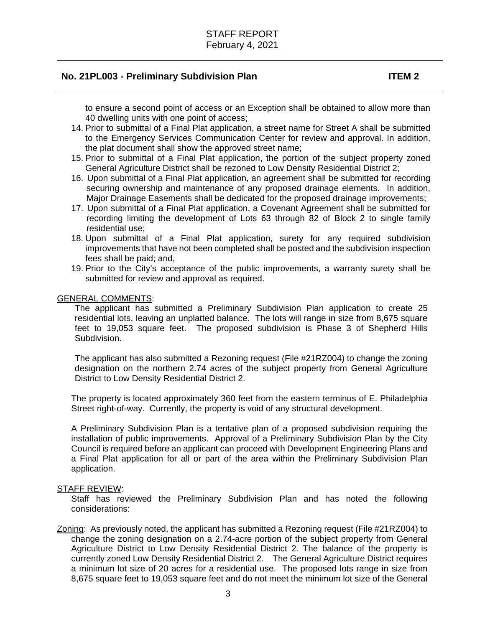to ensure a second point of access or an Exception shall be obtained to allow more than 40 dwelling units with one point of access;

- 14. Prior to submittal of a Final Plat application, a street name for Street A shall be submitted to the Emergency Services Communication Center for review and approval. In addition, the plat document shall show the approved street name;
- 15. Prior to submittal of a Final Plat application, the portion of the subject property zoned General Agriculture District shall be rezoned to Low Density Residential District 2;
- 16. Upon submittal of a Final Plat application, an agreement shall be submitted for recording securing ownership and maintenance of any proposed drainage elements. In addition, Major Drainage Easements shall be dedicated for the proposed drainage improvements;
- 17. Upon submittal of a Final Plat application, a Covenant Agreement shall be submitted for recording limiting the development of Lots 63 through 82 of Block 2 to single family residential use;
- 18. Upon submittal of a Final Plat application, surety for any required subdivision improvements that have not been completed shall be posted and the subdivision inspection fees shall be paid; and,
- 19. Prior to the City's acceptance of the public improvements, a warranty surety shall be submitted for review and approval as required.

### GENERAL COMMENTS:

The applicant has submitted a Preliminary Subdivision Plan application to create 25 residential lots, leaving an unplatted balance. The lots will range in size from 8,675 square feet to 19,053 square feet. The proposed subdivision is Phase 3 of Shepherd Hills Subdivision.

The applicant has also submitted a Rezoning request (File #21RZ004) to change the zoning designation on the northern 2.74 acres of the subject property from General Agriculture District to Low Density Residential District 2.

The property is located approximately 360 feet from the eastern terminus of E. Philadelphia Street right-of-way. Currently, the property is void of any structural development.

A Preliminary Subdivision Plan is a tentative plan of a proposed subdivision requiring the installation of public improvements. Approval of a Preliminary Subdivision Plan by the City Council is required before an applicant can proceed with Development Engineering Plans and a Final Plat application for all or part of the area within the Preliminary Subdivision Plan application.

#### STAFF REVIEW:

Staff has reviewed the Preliminary Subdivision Plan and has noted the following considerations:

Zoning: As previously noted, the applicant has submitted a Rezoning request (File #21RZ004) to change the zoning designation on a 2.74-acre portion of the subject property from General Agriculture District to Low Density Residential District 2. The balance of the property is currently zoned Low Density Residential District 2. The General Agriculture District requires a minimum lot size of 20 acres for a residential use. The proposed lots range in size from 8,675 square feet to 19,053 square feet and do not meet the minimum lot size of the General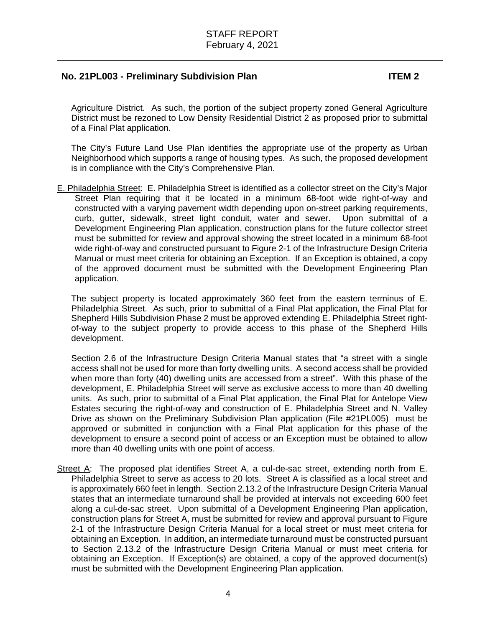Agriculture District. As such, the portion of the subject property zoned General Agriculture District must be rezoned to Low Density Residential District 2 as proposed prior to submittal of a Final Plat application.

The City's Future Land Use Plan identifies the appropriate use of the property as Urban Neighborhood which supports a range of housing types. As such, the proposed development is in compliance with the City's Comprehensive Plan.

E. Philadelphia Street: E. Philadelphia Street is identified as a collector street on the City's Major Street Plan requiring that it be located in a minimum 68-foot wide right-of-way and constructed with a varying pavement width depending upon on-street parking requirements, curb, gutter, sidewalk, street light conduit, water and sewer. Upon submittal of a Development Engineering Plan application, construction plans for the future collector street must be submitted for review and approval showing the street located in a minimum 68-foot wide right-of-way and constructed pursuant to Figure 2-1 of the Infrastructure Design Criteria Manual or must meet criteria for obtaining an Exception. If an Exception is obtained, a copy of the approved document must be submitted with the Development Engineering Plan application.

The subject property is located approximately 360 feet from the eastern terminus of E. Philadelphia Street. As such, prior to submittal of a Final Plat application, the Final Plat for Shepherd Hills Subdivision Phase 2 must be approved extending E. Philadelphia Street rightof-way to the subject property to provide access to this phase of the Shepherd Hills development.

Section 2.6 of the Infrastructure Design Criteria Manual states that "a street with a single access shall not be used for more than forty dwelling units. A second access shall be provided when more than forty (40) dwelling units are accessed from a street". With this phase of the development, E. Philadelphia Street will serve as exclusive access to more than 40 dwelling units. As such, prior to submittal of a Final Plat application, the Final Plat for Antelope View Estates securing the right-of-way and construction of E. Philadelphia Street and N. Valley Drive as shown on the Preliminary Subdivision Plan application (File #21PL005) must be approved or submitted in conjunction with a Final Plat application for this phase of the development to ensure a second point of access or an Exception must be obtained to allow more than 40 dwelling units with one point of access.

Street A: The proposed plat identifies Street A, a cul-de-sac street, extending north from E. Philadelphia Street to serve as access to 20 lots. Street A is classified as a local street and is approximately 660 feet in length. Section 2.13.2 of the Infrastructure Design Criteria Manual states that an intermediate turnaround shall be provided at intervals not exceeding 600 feet along a cul-de-sac street. Upon submittal of a Development Engineering Plan application, construction plans for Street A, must be submitted for review and approval pursuant to Figure 2-1 of the Infrastructure Design Criteria Manual for a local street or must meet criteria for obtaining an Exception. In addition, an intermediate turnaround must be constructed pursuant to Section 2.13.2 of the Infrastructure Design Criteria Manual or must meet criteria for obtaining an Exception. If Exception(s) are obtained, a copy of the approved document(s) must be submitted with the Development Engineering Plan application.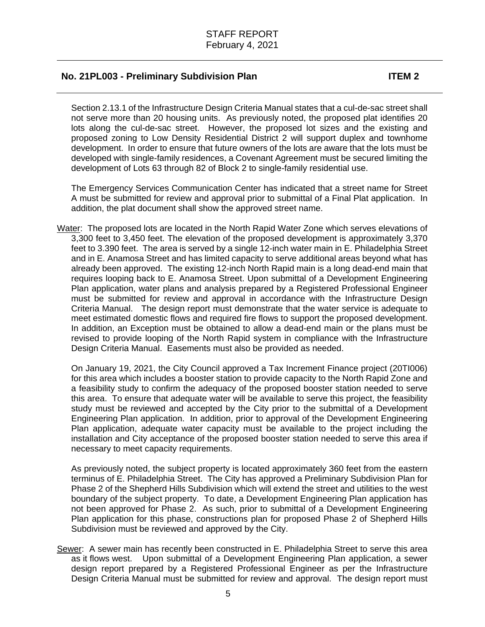Section 2.13.1 of the Infrastructure Design Criteria Manual states that a cul-de-sac street shall not serve more than 20 housing units. As previously noted, the proposed plat identifies 20 lots along the cul-de-sac street. However, the proposed lot sizes and the existing and proposed zoning to Low Density Residential District 2 will support duplex and townhome development. In order to ensure that future owners of the lots are aware that the lots must be developed with single-family residences, a Covenant Agreement must be secured limiting the development of Lots 63 through 82 of Block 2 to single-family residential use.

The Emergency Services Communication Center has indicated that a street name for Street A must be submitted for review and approval prior to submittal of a Final Plat application. In addition, the plat document shall show the approved street name.

Water: The proposed lots are located in the North Rapid Water Zone which serves elevations of 3,300 feet to 3,450 feet. The elevation of the proposed development is approximately 3,370 feet to 3.390 feet. The area is served by a single 12-inch water main in E. Philadelphia Street and in E. Anamosa Street and has limited capacity to serve additional areas beyond what has already been approved. The existing 12-inch North Rapid main is a long dead-end main that requires looping back to E. Anamosa Street. Upon submittal of a Development Engineering Plan application, water plans and analysis prepared by a Registered Professional Engineer must be submitted for review and approval in accordance with the Infrastructure Design Criteria Manual. The design report must demonstrate that the water service is adequate to meet estimated domestic flows and required fire flows to support the proposed development. In addition, an Exception must be obtained to allow a dead-end main or the plans must be revised to provide looping of the North Rapid system in compliance with the Infrastructure Design Criteria Manual. Easements must also be provided as needed.

On January 19, 2021, the City Council approved a Tax Increment Finance project (20TI006) for this area which includes a booster station to provide capacity to the North Rapid Zone and a feasibility study to confirm the adequacy of the proposed booster station needed to serve this area. To ensure that adequate water will be available to serve this project, the feasibility study must be reviewed and accepted by the City prior to the submittal of a Development Engineering Plan application. In addition, prior to approval of the Development Engineering Plan application, adequate water capacity must be available to the project including the installation and City acceptance of the proposed booster station needed to serve this area if necessary to meet capacity requirements.

As previously noted, the subject property is located approximately 360 feet from the eastern terminus of E. Philadelphia Street. The City has approved a Preliminary Subdivision Plan for Phase 2 of the Shepherd Hills Subdivision which will extend the street and utilities to the west boundary of the subject property. To date, a Development Engineering Plan application has not been approved for Phase 2. As such, prior to submittal of a Development Engineering Plan application for this phase, constructions plan for proposed Phase 2 of Shepherd Hills Subdivision must be reviewed and approved by the City.

Sewer: A sewer main has recently been constructed in E. Philadelphia Street to serve this area as it flows west. Upon submittal of a Development Engineering Plan application, a sewer design report prepared by a Registered Professional Engineer as per the Infrastructure Design Criteria Manual must be submitted for review and approval. The design report must